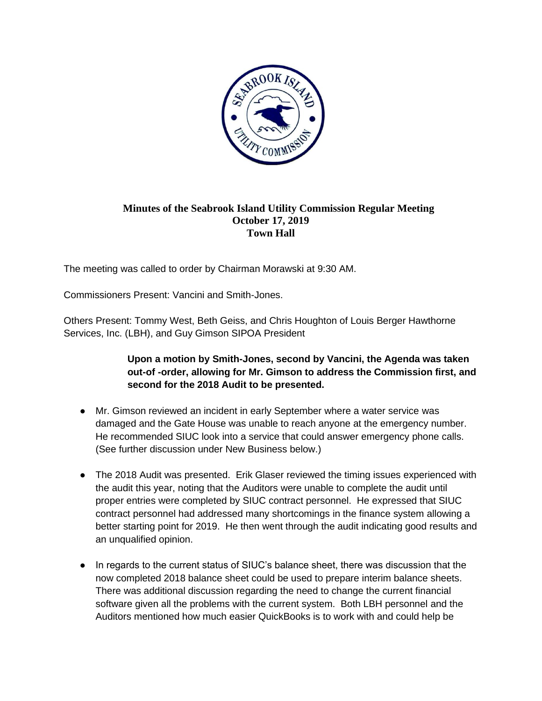

## **Minutes of the Seabrook Island Utility Commission Regular Meeting October 17, 2019 Town Hall**

The meeting was called to order by Chairman Morawski at 9:30 AM.

Commissioners Present: Vancini and Smith-Jones.

Others Present: Tommy West, Beth Geiss, and Chris Houghton of Louis Berger Hawthorne Services, Inc. (LBH), and Guy Gimson SIPOA President

## **Upon a motion by Smith-Jones, second by Vancini, the Agenda was taken out-of -order, allowing for Mr. Gimson to address the Commission first, and second for the 2018 Audit to be presented.**

- Mr. Gimson reviewed an incident in early September where a water service was damaged and the Gate House was unable to reach anyone at the emergency number. He recommended SIUC look into a service that could answer emergency phone calls. (See further discussion under New Business below.)
- The 2018 Audit was presented. Erik Glaser reviewed the timing issues experienced with the audit this year, noting that the Auditors were unable to complete the audit until proper entries were completed by SIUC contract personnel. He expressed that SIUC contract personnel had addressed many shortcomings in the finance system allowing a better starting point for 2019. He then went through the audit indicating good results and an unqualified opinion.
- In regards to the current status of SIUC's balance sheet, there was discussion that the now completed 2018 balance sheet could be used to prepare interim balance sheets. There was additional discussion regarding the need to change the current financial software given all the problems with the current system. Both LBH personnel and the Auditors mentioned how much easier QuickBooks is to work with and could help be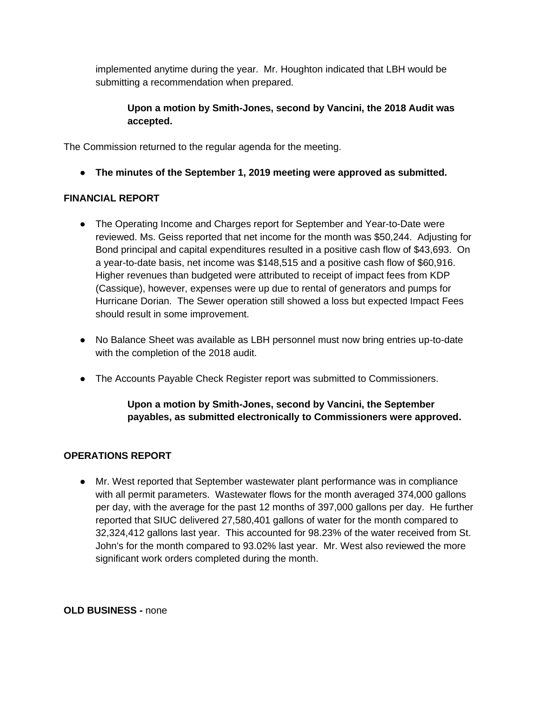implemented anytime during the year. Mr. Houghton indicated that LBH would be submitting a recommendation when prepared.

## **Upon a motion by Smith-Jones, second by Vancini, the 2018 Audit was accepted.**

The Commission returned to the regular agenda for the meeting.

● **The minutes of the September 1, 2019 meeting were approved as submitted.**

## **FINANCIAL REPORT**

- The Operating Income and Charges report for September and Year-to-Date were reviewed. Ms. Geiss reported that net income for the month was \$50,244. Adjusting for Bond principal and capital expenditures resulted in a positive cash flow of \$43,693. On a year-to-date basis, net income was \$148,515 and a positive cash flow of \$60,916. Higher revenues than budgeted were attributed to receipt of impact fees from KDP (Cassique), however, expenses were up due to rental of generators and pumps for Hurricane Dorian. The Sewer operation still showed a loss but expected Impact Fees should result in some improvement.
- No Balance Sheet was available as LBH personnel must now bring entries up-to-date with the completion of the 2018 audit.
- The Accounts Payable Check Register report was submitted to Commissioners.

# **Upon a motion by Smith-Jones, second by Vancini, the September payables, as submitted electronically to Commissioners were approved.**

# **OPERATIONS REPORT**

● Mr. West reported that September wastewater plant performance was in compliance with all permit parameters. Wastewater flows for the month averaged 374,000 gallons per day, with the average for the past 12 months of 397,000 gallons per day. He further reported that SIUC delivered 27,580,401 gallons of water for the month compared to 32,324,412 gallons last year. This accounted for 98.23% of the water received from St. John's for the month compared to 93.02% last year. Mr. West also reviewed the more significant work orders completed during the month.

**OLD BUSINESS -** none